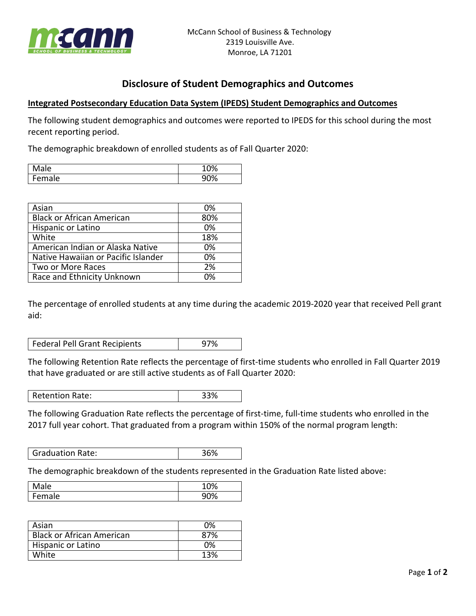

## **Disclosure of Student Demographics and Outcomes**

## **Integrated Postsecondary Education Data System (IPEDS) Student Demographics and Outcomes**

The following student demographics and outcomes were reported to IPEDS for this school during the most recent reporting period.

The demographic breakdown of enrolled students as of Fall Quarter 2020:

| lale.                                   | $\sim$<br>70 |
|-----------------------------------------|--------------|
| $\mathbf{r}$<br>IΑ<br>aic<br><b>UII</b> | 0.001<br>7U  |

| Asian                               | 0%  |
|-------------------------------------|-----|
| <b>Black or African American</b>    | 80% |
| Hispanic or Latino                  | 0%  |
| White                               | 18% |
| American Indian or Alaska Native    | 0%  |
| Native Hawaiian or Pacific Islander | 0%  |
| Two or More Races                   | 2%  |
| Race and Ethnicity Unknown          | በ%  |

The percentage of enrolled students at any time during the academic 2019-2020 year that received Pell grant aid:

Federal Pell Grant Recipients 197%

The following Retention Rate reflects the percentage of first-time students who enrolled in Fall Quarter 2019 that have graduated or are still active students as of Fall Quarter 2020:

Retention Rate: 23%

The following Graduation Rate reflects the percentage of first-time, full-time students who enrolled in the 2017 full year cohort. That graduated from a program within 150% of the normal program length:

| Graduation Rate:<br>36% |
|-------------------------|
|-------------------------|

The demographic breakdown of the students represented in the Graduation Rate listed above:

| Male   | 70 |
|--------|----|
| Female | %  |

| Asian                            | 0%  |
|----------------------------------|-----|
| <b>Black or African American</b> | 87% |
| Hispanic or Latino               | 0%  |
| White                            | 13% |